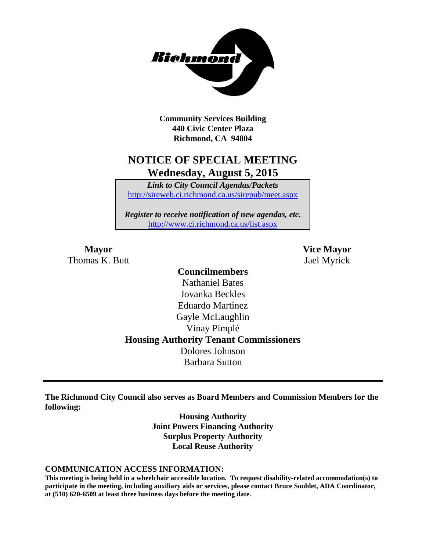

**Community Services Building 440 Civic Center Plaza Richmond, CA 94804**

### **NOTICE OF SPECIAL MEETING Wednesday, August 5, 2015**

*Link to City Council Agendas/Packets* <http://sireweb.ci.richmond.ca.us/sirepub/meet.aspx>

*Register to receive notification of new agendas, etc.* <http://www.ci.richmond.ca.us/list.aspx>

Thomas K. Butt Jael Myrick

**Mayor Vice Mayor**

### **Councilmembers** Nathaniel Bates Jovanka Beckles Eduardo Martinez Gayle McLaughlin Vinay Pimplé **Housing Authority Tenant Commissioners** Dolores Johnson Barbara Sutton

**The Richmond City Council also serves as Board Members and Commission Members for the following:**

> **Housing Authority Joint Powers Financing Authority Surplus Property Authority Local Reuse Authority**

#### **COMMUNICATION ACCESS INFORMATION:**

**This meeting is being held in a wheelchair accessible location. To request disability-related accommodation(s) to participate in the meeting, including auxiliary aids or services, please contact Bruce Soublet, ADA Coordinator, at (510) 620-6509 at least three business days before the meeting date.**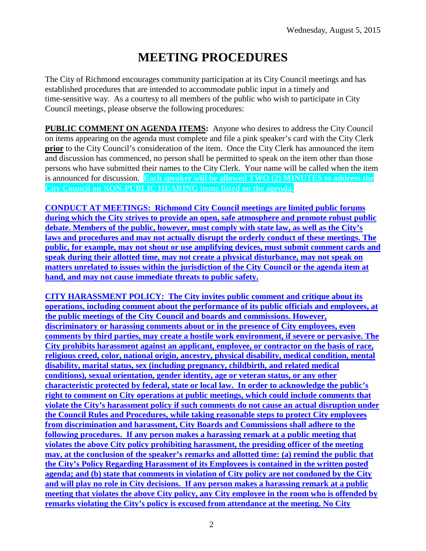# **MEETING PROCEDURES**

The City of Richmond encourages community participation at its City Council meetings and has established procedures that are intended to accommodate public input in a timely and time-sensitive way. As a courtesy to all members of the public who wish to participate in City Council meetings, please observe the following procedures:

**PUBLIC COMMENT ON AGENDA ITEMS:** Anyone who desires to address the City Council on items appearing on the agenda must complete and file a pink speaker's card with the City Clerk **prior** to the City Council's consideration of the item. Once the City Clerk has announced the item and discussion has commenced, no person shall be permitted to speak on the item other than those persons who have submitted their names to the City Clerk. Your name will be called when the item is announced for discussion. **Each speaker will be allowed TWO (2) MINUTES to address the City Council on NON-PUBLIC HEARING items listed on the agenda.**

**CONDUCT AT MEETINGS: Richmond City Council meetings are limited public forums during which the City strives to provide an open, safe atmosphere and promote robust public debate. Members of the public, however, must comply with state law, as well as the City's laws and procedures and may not actually disrupt the orderly conduct of these meetings. The public, for example, may not shout or use amplifying devices, must submit comment cards and speak during their allotted time, may not create a physical disturbance, may not speak on matters unrelated to issues within the jurisdiction of the City Council or the agenda item at hand, and may not cause immediate threats to public safety.** 

**CITY HARASSMENT POLICY: The City invites public comment and critique about its operations, including comment about the performance of its public officials and employees, at the public meetings of the City Council and boards and commissions. However, discriminatory or harassing comments about or in the presence of City employees, even comments by third parties, may create a hostile work environment, if severe or pervasive. The City prohibits harassment against an applicant, employee, or contractor on the basis of race, religious creed, color, national origin, ancestry, physical disability, medical condition, mental disability, marital status, sex (including pregnancy, childbirth, and related medical conditions), sexual orientation, gender identity, age or veteran status, or any other characteristic protected by federal, state or local law. In order to acknowledge the public's right to comment on City operations at public meetings, which could include comments that violate the City's harassment policy if such comments do not cause an actual disruption under the Council Rules and Procedures, while taking reasonable steps to protect City employees from discrimination and harassment, City Boards and Commissions shall adhere to the following procedures. If any person makes a harassing remark at a public meeting that violates the above City policy prohibiting harassment, the presiding officer of the meeting may, at the conclusion of the speaker's remarks and allotted time: (a) remind the public that the City's Policy Regarding Harassment of its Employees is contained in the written posted agenda; and (b) state that comments in violation of City policy are not condoned by the City and will play no role in City decisions. If any person makes a harassing remark at a public meeting that violates the above City policy, any City employee in the room who is offended by remarks violating the City's policy is excused from attendance at the meeting. No City**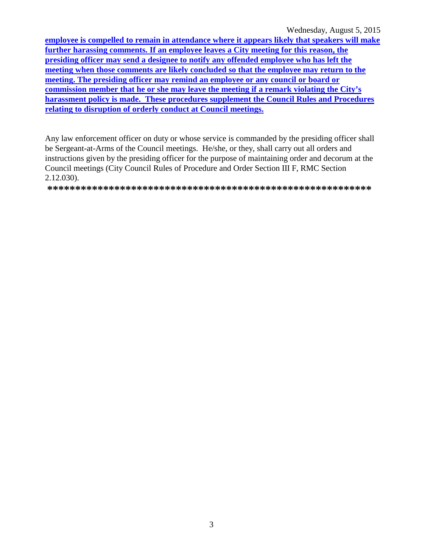Wednesday, August 5, 2015

employee is compelled to remain in attendance where it appears likely that speakers will make further harassing comments. If an employee leaves a City meeting for this reason, the presiding officer may send a designee to notify any offended employee who has left the meeting when those comments are likely concluded so that the employee may return to the meeting. The presiding officer may remind an employee or any council or board or commission member that he or she may leave the meeting if a remark violating the City's harassment policy is made. These procedures supplement the Council Rules and Procedures relating to disruption of orderly conduct at Council meetings.

Any law enforcement officer on duty or whose service is commanded by the presiding officer shall be Sergeant-at-Arms of the Council meetings. He/she, or they, shall carry out all orders and instructions given by the presiding officer for the purpose of maintaining order and decorum at the Council meetings (City Council Rules of Procedure and Order Section III F, RMC Section  $2.12.030$ ).